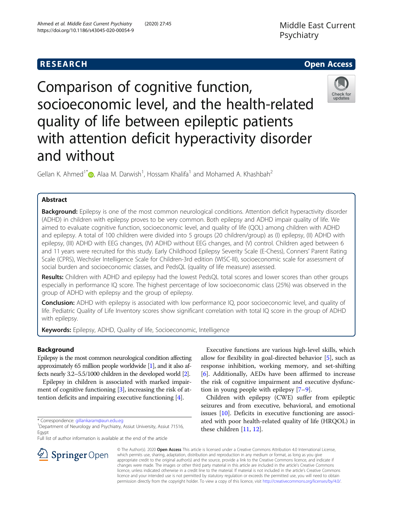

Check for updates

# Comparison of cognitive function, socioeconomic level, and the health-related quality of life between epileptic patients with attention deficit hyperactivity disorder and without

Gellan K. Ahmed<sup>1[\\*](https://orcid.org/0000-0002-5830-4117)</sup> $\bullet$ , Alaa M. Darwish<sup>1</sup>, Hossam Khalifa<sup>1</sup> and Mohamed A. Khashbah<sup>2</sup>

# Abstract

Background: Epilepsy is one of the most common neurological conditions. Attention deficit hyperactivity disorder (ADHD) in children with epilepsy proves to be very common. Both epilepsy and ADHD impair quality of life. We aimed to evaluate cognitive function, socioeconomic level, and quality of life (QOL) among children with ADHD and epilepsy. A total of 100 children were divided into 5 groups (20 children/group) as (I) epilepsy, (II) ADHD with epilepsy, (III) ADHD with EEG changes, (IV) ADHD without EEG changes, and (V) control. Children aged between 6 and 11 years were recruited for this study. Early Childhood Epilepsy Severity Scale (E-Chess), Conners' Parent Rating Scale (CPRS), Wechsler Intelligence Scale for Children-3rd edition (WISC-III), socioeconomic scale for assessment of social burden and socioeconomic classes, and PedsQL (quality of life measure) assessed.

Results: Children with ADHD and epilepsy had the lowest PedsQL total scores and lower scores than other groups especially in performance IQ score. The highest percentage of low socioeconomic class (25%) was observed in the group of ADHD with epilepsy and the group of epilepsy.

Conclusion: ADHD with epilepsy is associated with low performance IQ, poor socioeconomic level, and quality of life. Pediatric Quality of Life Inventory scores show significant correlation with total IQ score in the group of ADHD with epilepsy.

Keywords: Epilepsy, ADHD, Quality of life, Socioeconomic, Intelligence

# Background

Epilepsy is the most common neurological condition affecting approximately 65 million people worldwide [\[1](#page-9-0)], and it also affects nearly 3.2–5.5/1000 children in the developed world [\[2\]](#page-9-0).

Epilepsy in children is associated with marked impair-ment of cognitive functioning [\[3\]](#page-9-0), increasing the risk of attention deficits and impairing executive functioning [[4\]](#page-9-0).

\* Correspondence: [gillankaram@aun.edu.eg](mailto:gillankaram@aun.edu.eg) <sup>1</sup>

Full list of author information is available at the end of the article

Executive functions are various high-level skills, which allow for flexibility in goal-directed behavior [[5\]](#page-9-0), such as response inhibition, working memory, and set-shifting [[6\]](#page-9-0). Additionally, AEDs have been affirmed to increase the risk of cognitive impairment and executive dysfunction in young people with epilepsy [[7](#page-9-0)–[9\]](#page-9-0).

Children with epilepsy (CWE) suffer from epileptic seizures and from executive, behavioral, and emotional issues [[10](#page-9-0)]. Deficits in executive functioning are associated with poor health-related quality of life (HRQOL) in these children [\[11](#page-9-0), [12](#page-9-0)].



© The Author(s). 2020 Open Access This article is licensed under a Creative Commons Attribution 4.0 International License, which permits use, sharing, adaptation, distribution and reproduction in any medium or format, as long as you give appropriate credit to the original author(s) and the source, provide a link to the Creative Commons licence, and indicate if changes were made. The images or other third party material in this article are included in the article's Creative Commons licence, unless indicated otherwise in a credit line to the material. If material is not included in the article's Creative Commons licence and your intended use is not permitted by statutory regulation or exceeds the permitted use, you will need to obtain permission directly from the copyright holder. To view a copy of this licence, visit <http://creativecommons.org/licenses/by/4.0/>.

<sup>&</sup>lt;sup>1</sup> Department of Neurology and Psychiatry, Assiut University, Assiut 71516, Egypt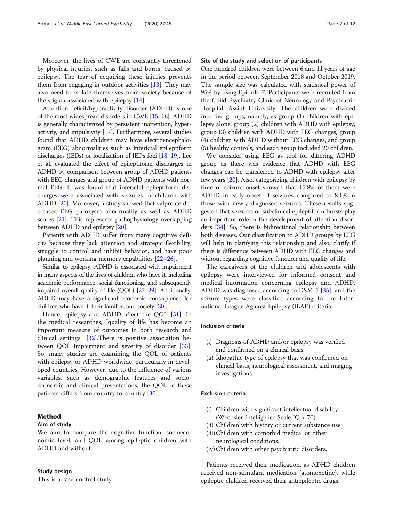Moreover, the lives of CWE are constantly threatened by physical injuries, such as falls and burns, caused by epilepsy. The fear of acquiring these injuries prevents them from engaging in outdoor activities [[13](#page-9-0)]. They may also need to isolate themselves from society because of the stigma associated with epilepsy [[14\]](#page-9-0).

Attention-deficit/hyperactivity disorder (ADHD) is one of the most widespread disorders in CWE [\[15,](#page-9-0) [16](#page-9-0)]. ADHD is generally characterized by persistent inattention, hyperactivity, and impulsivity [\[17\]](#page-9-0). Furthermore, several studies found that ADHD children may have electroencephalogram (EEG) abnormalities such as interictal epileptiform discharges (IEDs) or localization of IEDs foci [[18](#page-9-0), [19](#page-9-0)]. Lee et al. evaluated the effect of epileptiform discharges in ADHD by comparison between group of ADHD patients with EEG changes and group of ADHD patients with normal EEG. It was found that interictal epileptiform discharges were associated with seizures in children with ADHD [\[20](#page-9-0)]. Moreover, a study showed that valproate decreased EEG paroxysm abnormality as well as ADHD scores [\[21](#page-9-0)]. This represents pathophysiology overlapping between ADHD and epilepsy [[20](#page-9-0)].

Patients with ADHD suffer from many cognitive deficits because they lack attention and strategic flexibility, struggle to control and inhibit behavior, and have poor planning and working memory capabilities [[22](#page-9-0)–[26](#page-9-0)].

Similar to epilepsy, ADHD is associated with impairment in many aspects of the lives of children who have it, including academic performance, social functioning, and subsequently impaired overall quality of life (QOL) [\[27](#page-9-0)–[29\]](#page-9-0). Additionally, ADHD may have a significant economic consequence for children who have it, their families, and society [\[30](#page-10-0)].

Hence, epilepsy and ADHD affect the QOL [[31\]](#page-10-0). In the medical researches, "quality of life has become an important measure of outcomes in both research and clinical settings" [\[32\]](#page-10-0).There is positive association between QOL impairment and severity of disorder [\[33](#page-10-0)]. So, many studies are examining the QOL of patients with epilepsy or ADHD worldwide, particularly in developed countries. However, due to the influence of various variables, such as demographic features and socioeconomic and clinical presentations, the QOL of these patients differs from country to country [\[30\]](#page-10-0).

# Method

#### Aim of study

We aim to compare the cognitive function, socioeconomic level, and QOL among epileptic children with ADHD and without.

#### Study design

This is a case-control study.

# Site of the study and selection of participants

One hundred children were between 6 and 11 years of age in the period between September 2018 and October 2019. The sample size was calculated with statistical power of 95% by using Epi info 7. Participants were recruited from the Child Psychiatry Clinic of Neurology and Psychiatric Hospital, Assiut University. The children were divided into five groups, namely, as group (1) children with epilepsy alone, group (2) children with ADHD with epilepsy, group (3) children with ADHD with EEG changes, group (4) children with ADHD without EEG changes, and group (5) healthy controls, and each group included 20 children.

We consider using EEG as tool for differing ADHD group as there was evidence that ADHD with EEG changes can be transferred to ADHD with epilepsy after few years [\[20\]](#page-9-0). Also, categorizing children with epilepsy by time of seizure onset showed that 15.8% of them were ADHD in early onset of seizures compared to 8.1% in those with newly diagnosed seizures. These results suggested that seizures or subclinical epileptiform bursts play an important role in the development of attention disorders [[34\]](#page-10-0). So, there is bidirectional relationship between both diseases. Our classification to ADHD groups by EEG will help in clarifying this relationship and also, clarify if there is difference between ADHD with EEG changes and without regarding cognitive function and quality of life.

The caregivers of the children and adolescents with epilepsy were interviewed for informed consent and medical information concerning epilepsy and ADHD. ADHD was diagnosed according to DSM-5 [\[35](#page-10-0)], and the seizure types were classified according to the International League Against Epilepsy (ILAE) criteria.

# Inclusion criteria

- (i) Diagnosis of ADHD and/or epilepsy was verified and confirmed on a clinical basis.
- (ii) Idiopathic type of epilepsy that was confirmed on clinical basis, neurological assessment, and imaging investigations.

# Exclusion criteria

- (i) Children with significant intellectual disability (Wechsler Intelligence Scale IQ < 70);
- (ii) Children with history or current substance use
- (iii)Children with comorbid medical or other neurological conditions.
- (iv) Children with other psychiatric disorders,

Patients received their medication, as ADHD children received non-stimulant medication (atomoxetine), while epileptic children received their antiepileptic drugs.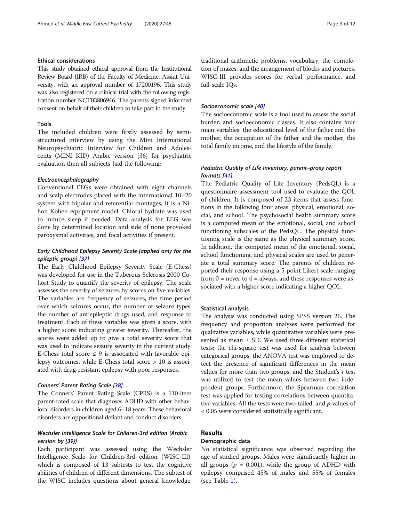# Ethical considerations

This study obtained ethical approval from the Institutional Review Board (IRB) of the Faculty of Medicine, Assiut University, with an approval number of 17200196. This study was also registered on a clinical trial with the following registration number NCT03806946. The parents signed informed consent on behalf of their children to take part in the study.

## Tools

The included children were firstly assessed by semistructured interview by using the Mini International Neuropsychiatric Interview for Children and Adolescents (MINI KID) Arabic version [\[36\]](#page-10-0) for psychiatric evaluation then all subjects had the following:

## Electroencephalography

Conventional EEGs were obtained with eight channels and scalp electrodes placed with the international 10–20 system with bipolar and referential montages; it is a Nihon Kohen equipment model. Chloral hydrate was used to induce sleep if needed. Data analysis for EEG was done by determined location and side of none provoked paroxysmal activities, and focal activities if present.

# Early Childhood Epilepsy Severity Scale (applied only for the epileptic group) [[37](#page-10-0)]

The Early Childhood Epilepsy Severity Scale (E-Chess) was developed for use in the Tuberous Sclerosis 2000 Cohort Study to quantify the severity of epilepsy. The scale assesses the severity of seizures by scores on five variables. The variables are frequency of seizures, the time period over which seizures occur, the number of seizure types, the number of antiepileptic drugs used, and response to treatment. Each of these variables was given a score, with a higher score indicating greater severity. Thereafter, the scores were added up to give a total severity score that was used to indicate seizure severity in the current study. E-Chess total score  $\leq$  9 is associated with favorable epilepsy outcomes, while E-Chess total score > 10 is associated with drug-resistant epilepsy with poor responses.

## Conners' Parent Rating Scale [[38](#page-10-0)]

The Conners' Parent Rating Scale (CPRS) is a 110-item parent-rated scale that diagnoses ADHD with other behavioral disorders in children aged 6–18 years. These behavioral disorders are oppositional defiant and conduct disorders.

# Wechsler Intelligence Scale for Children-3rd edition (Arabic version by [[39](#page-10-0)])

Each participant was assessed using the Wechsler Intelligence Scale for Children-3rd edition (WISC-III), which is composed of 13 subtests to test the cognitive abilities of children of different dimensions. The subtest of the WISC includes questions about general knowledge, traditional arithmetic problems, vocabulary, the completion of mazes, and the arrangement of blocks and pictures. WISC-III provides scores for verbal, performance, and full-scale IQs.

#### Socioeconomic scale [\[40\]](#page-10-0)

The socioeconomic scale is a tool used to assess the social burden and socioeconomic classes. It also contains four main variables: the educational level of the father and the mother, the occupation of the father and the mother, the total family income, and the lifestyle of the family.

# Pediatric Quality of Life Inventory, parent–proxy report formats [\[41\]](#page-10-0)

The Pediatric Quality of Life Inventory (PedsQL) is a questionnaire assessment tool used to evaluate the QOL of children. It is composed of 23 items that assess functions in the following four areas: physical, emotional, social, and school. The psychosocial health summary score is a computed mean of the emotional, social, and school functioning subscales of the PedsQL. The physical functioning scale is the same as the physical summary score. In addition, the computed mean of the emotional, social, school functioning, and physical scales are used to generate a total summary score. The parents of children reported their response using a 5-point Likert scale ranging from  $0 =$  never to  $4 =$  always, and these responses were associated with a higher score indicating a higher QOL.

## Statistical analysis

The analysis was conducted using SPSS version 26. The frequency and proportion analyses were performed for qualitative variables, while quantitative variables were presented as mean ± SD. We used three different statistical tests: the chi-square test was used for analysis between categorical groups, the ANOVA test was employed to detect the presence of significant differences in the mean values for more than two groups, and the Student's  $t$  test was utilized to test the mean values between two independent groups. Furthermore, the Spearman correlation test was applied for testing correlations between quantitative variables. All the tests were two-tailed, and  $p$  values of < 0.05 were considered statistically significant.

# Results

# Demographic data

No statistical significance was observed regarding the age of studied groups. Males were significantly higher in all groups ( $p = 0.001$ ), while the group of ADHD with epilepsy comprised 45% of males and 55% of females (see Table [1](#page-3-0)).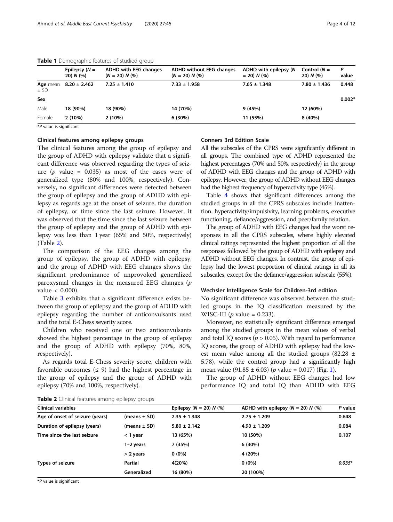|                    | Epilepsy $(N =$<br>$20) N$ (%) | ADHD with EEG changes<br>$(N = 20) N$ (%) | ADHD without EEG changes<br>$(N = 20) N$ (%) | ADHD with epilepsy (N<br>$= 20$ ) N (%) | Control $(N =$<br>$20) N$ (%) | P<br>value |
|--------------------|--------------------------------|-------------------------------------------|----------------------------------------------|-----------------------------------------|-------------------------------|------------|
| Age mean<br>$±$ SD | $8.20 \pm 2.462$               | $7.25 \pm 1.410$                          | $7.33 \pm 1.958$                             | $7.65 \pm 1.348$                        | $7.80 \pm 1.436$              | 0.448      |
| Sex                |                                |                                           |                                              |                                         |                               | $0.002*$   |
| Male               | 18 (90%)                       | 18 (90%)                                  | 14 (70%)                                     | 9(45%)                                  | 12 (60%)                      |            |
| Female             | 2(10%)                         | 2(10%)                                    | 6(30%)                                       | 11 (55%)                                | $8(40\%)$                     |            |

# <span id="page-3-0"></span>Table 1 Demographic features of studied group

\*P value is significant

# Clinical features among epilepsy groups

The clinical features among the group of epilepsy and the group of ADHD with epilepsy validate that a significant difference was observed regarding the types of seizure ( $p$  value = 0.035) as most of the cases were of generalized type (80% and 100%, respectively). Conversely, no significant differences were detected between the group of epilepsy and the group of ADHD with epilepsy as regards age at the onset of seizure, the duration of epilepsy, or time since the last seizure. However, it was observed that the time since the last seizure between the group of epilepsy and the group of ADHD with epilepsy was less than 1 year (65% and 50%, respectively) (Table 2).

The comparison of the EEG changes among the group of epilepsy, the group of ADHD with epilepsy, and the group of ADHD with EEG changes shows the significant predominance of unprovoked generalized paroxysmal changes in the measured EEG changes  $(p)$ value < 0.000).

Table [3](#page-4-0) exhibits that a significant difference exists between the group of epilepsy and the group of ADHD with epilepsy regarding the number of anticonvulsants used and the total E-Chess severity score.

Children who received one or two anticonvulsants showed the highest percentage in the group of epilepsy and the group of ADHD with epilepsy (70%, 80%, respectively).

As regards total E-Chess severity score, children with favorable outcomes ( $\leq$  9) had the highest percentage in the group of epilepsy and the group of ADHD with epilepsy (70% and 100%, respectively).

# Conners 3rd Edition Scale

All the subscales of the CPRS were significantly different in all groups. The combined type of ADHD represented the highest percentages (70% and 50%, respectively) in the group of ADHD with EEG changes and the group of ADHD with epilepsy. However, the group of ADHD without EEG changes had the highest frequency of hyperactivity type (45%).

Table [4](#page-5-0) shows that significant differences among the studied groups in all the CPRS subscales include: inattention, hyperactivity/impulsivity, learning problems, executive functioning, defiance/aggression, and peer/family relation.

The group of ADHD with EEG changes had the worst responses in all the CPRS subscales, where highly elevated clinical ratings represented the highest proportion of all the responses followed by the group of ADHD with epilepsy and ADHD without EEG changes. In contrast, the group of epilepsy had the lowest proportion of clinical ratings in all its subscales, except for the defiance/aggression subscale (55%).

## Wechsler Intelligence Scale for Children-3rd edition

No significant difference was observed between the studied groups in the IQ classification measured by the WISC-III ( $p$  value = 0.233).

Moreover, no statistically significant difference emerged among the studied groups in the mean values of verbal and total IQ scores ( $p > 0.05$ ). With regard to performance IQ scores, the group of ADHD with epilepsy had the lowest mean value among all the studied groups (82.28 ± 5.78), while the control group had a significantly high mean value  $(91.85 \pm 6.03)$  (*p* value = 0.017) (Fig. [1\)](#page-6-0).

The group of ADHD without EEG changes had low performance IQ and total IQ than ADHD with EEG

| Table 2 Clinical features among epilepsy groups |  |  |  |  |
|-------------------------------------------------|--|--|--|--|
|-------------------------------------------------|--|--|--|--|

| <b>Example =</b> Children reactives arriving epirepsy groups |                  |                             |                                     |          |
|--------------------------------------------------------------|------------------|-----------------------------|-------------------------------------|----------|
| <b>Clinical variables</b>                                    |                  | Epilepsy ( $N = 20$ ) N (%) | ADHD with epilepsy $(N = 20) N$ (%) | P value  |
| Age of onset of seizure (years)                              | (means $\pm$ SD) | $2.35 \pm 1.348$            | $2.75 \pm 1.209$                    | 0.648    |
| Duration of epilepsy (years)                                 | (means ± SD)     | $5.80 \pm 2.142$            | $4.90 \pm 1.209$                    | 0.084    |
| Time since the last seizure                                  | $<$ 1 year       | 13 (65%)                    | 10 (50%)                            | 0.107    |
|                                                              | 1-2 years        | 7 (35%)                     | 6(30%)                              |          |
|                                                              | $> 2$ years      | $0(0\%)$                    | 4 (20%)                             |          |
| Types of seizure                                             | Partial          | 4(20%)                      | $0(0\%)$                            | $0.035*$ |
|                                                              | Generalized      | 16 (80%)                    | 20 (100%)                           |          |
|                                                              |                  |                             |                                     |          |

\*P value is significant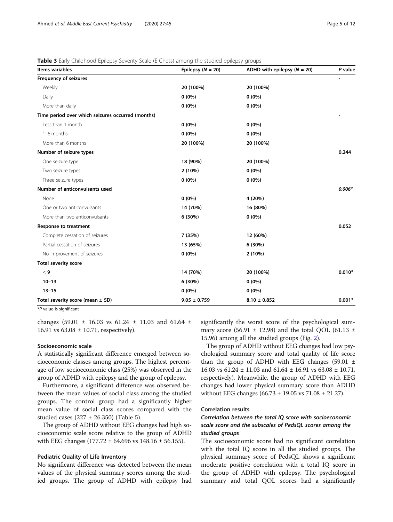# <span id="page-4-0"></span>**Table 3** Early Childhood Epilepsy Severity Scale (E-Chess) among the studied epilepsy groups

| Items variables                                   | Epilepsy $(N = 20)$ | ADHD with epilepsy $(N = 20)$ | P value  |
|---------------------------------------------------|---------------------|-------------------------------|----------|
| <b>Frequency of seizures</b>                      |                     |                               |          |
| Weekly                                            | 20 (100%)           | 20 (100%)                     |          |
| Daily                                             | $0(0\%)$            | $0(0\%)$                      |          |
| More than daily                                   | $0(0\%)$            | $0(0\%)$                      |          |
| Time period over which seizures occurred (months) |                     |                               |          |
| Less than 1 month                                 | $0(0\%)$            | $0(0\%)$                      |          |
| 1-6 months                                        | $0(0\%)$            | $0(0\%)$                      |          |
| More than 6 months                                | 20 (100%)           | 20 (100%)                     |          |
| Number of seizure types                           |                     |                               | 0.244    |
| One seizure type                                  | 18 (90%)            | 20 (100%)                     |          |
| Two seizure types                                 | 2(10%)              | $0(0\%)$                      |          |
| Three seizure types                               | $0(0\%)$            | $0(0\%)$                      |          |
| Number of anticonvulsants used                    |                     |                               | $0.006*$ |
| None                                              | $0(0\%)$            | 4 (20%)                       |          |
| One or two anticonvulsants                        | 14 (70%)            | 16 (80%)                      |          |
| More than two anticonvulsants                     | 6 (30%)             | $0(0\%)$                      |          |
| Response to treatment                             |                     |                               | 0.052    |
| Complete cessation of seizures                    | 7 (35%)             | 12 (60%)                      |          |
| Partial cessation of seizures                     | 13 (65%)            | 6(30%)                        |          |
| No improvement of seizures                        | $0(0\%)$            | 2(10%)                        |          |
| <b>Total severity score</b>                       |                     |                               |          |
| $\leq 9$                                          | 14 (70%)            | 20 (100%)                     | $0.010*$ |
| $10 - 13$                                         | 6 (30%)             | $0(0\%)$                      |          |
| $13 - 15$                                         | $0(0\%)$            | $0(0\%)$                      |          |
| Total severity score (mean $\pm$ SD)              | $9.05 \pm 0.759$    | $8.10 \pm 0.852$              | $0.001*$ |

\*P value is significant

changes (59.01  $\pm$  16.03 vs 61.24  $\pm$  11.03 and 61.64  $\pm$ 16.91 vs  $63.08 \pm 10.71$ , respectively).

#### Socioeconomic scale

A statistically significant difference emerged between socioeconomic classes among groups. The highest percentage of low socioeconomic class (25%) was observed in the group of ADHD with epilepsy and the group of epilepsy.

Furthermore, a significant difference was observed between the mean values of social class among the studied groups. The control group had a significantly higher mean value of social class scores compared with the studied cases (227 ± 26.350) (Table [5](#page-6-0)).

The group of ADHD without EEG changes had high socioeconomic scale score relative to the group of ADHD with EEG changes (177.72  $\pm$  64.696 vs 148.16  $\pm$  56.155).

## Pediatric Quality of Life Inventory

No significant difference was detected between the mean values of the physical summary scores among the studied groups. The group of ADHD with epilepsy had significantly the worst score of the psychological summary score (56.91  $\pm$  12.98) and the total QOL (61.13  $\pm$ 15.96) among all the studied groups (Fig. [2\)](#page-6-0).

The group of ADHD without EEG changes had low psychological summary score and total quality of life score than the group of ADHD with EEG changes  $(59.01 \pm$ 16.03 vs 61.24 ± 11.03 and 61.64 ± 16.91 vs 63.08 ± 10.71, respectively). Meanwhile, the group of ADHD with EEG changes had lower physical summary score than ADHD without EEG changes  $(66.73 \pm 19.05 \text{ vs } 71.08 \pm 21.27)$ .

# Correlation results

# Correlation between the total IQ score with socioeconomic scale score and the subscales of PedsQL scores among the studied groups

The socioeconomic score had no significant correlation with the total IQ score in all the studied groups. The physical summary score of PedsQL shows a significant moderate positive correlation with a total IQ score in the group of ADHD with epilepsy. The psychological summary and total QOL scores had a significantly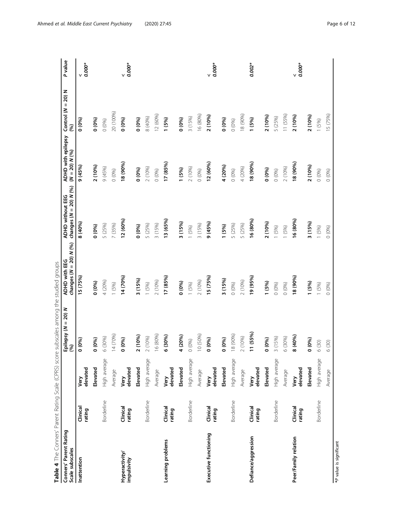<span id="page-5-0"></span>

| $\checkmark$<br>v<br>V<br>V<br>20 (100%)<br>12 (60%)<br>16 (80%)<br>18 (90%)<br>11 (55%)<br>15 (75%)<br>2 (10%)<br>2 (10%)<br>2 (10%)<br>2 (10%)<br>3 (15%)<br>5 (25%)<br>8 (40%)<br>0(0%)<br>$0(0\%)$<br>0(0%)<br>$0(0\%)$<br>(0.60)<br>0(0%)<br>1 (5%)<br>1(5%)<br>$(0\%)$<br>0(0%)<br>1 (5%)<br>18 (90%)<br>17 (85%)<br>12 (60%)<br>18 (90%)<br>18 (90%)<br>4 (20%)<br>9(45%)<br>2 (10%)<br>2 (10%)<br>2 (10%)<br>9 (45%)<br>2 (10%)<br>4 (20%)<br>2 (10%)<br>$(0\%)$<br>$(0\%)$<br>1 (5%)<br>$(0\%)$<br>$(0\%)$<br>$(0\%)$<br>$(0\%)$<br>$(0\%)$<br>0(0%)<br>$(0\%)$<br>12 (60%)<br>13 (65%)<br>16 (80%)<br>16 (80%)<br>2 (10%)<br>3 (15%)<br>3 (15%)<br>8 (40%)<br>9(45%)<br>3 (15%)<br>5 (25%)<br>7 (35%)<br>5 (25%)<br>3 (15%)<br>5 (25%)<br>5 (25%)<br>$(0\%)$<br>1 (5%)<br>0(0%)<br>1 (5%)<br>1 (5%)<br>1 (5%)<br>1(5%)<br>0(0%)<br>15 (75%)<br>14 (70%)<br>17 (85%)<br>15 (75%)<br>19 (95%)<br>18 (90%)<br>3(15%)<br>3 (15%)<br>2 (10%)<br>2 (10%)<br>2(10%)<br>4 (20%)<br>0(0%)<br>0(0%)<br>1 (5%)<br>1(5%)<br>1(5%)<br>1 (5%)<br>1(5%)<br>0(0%)<br>0(0%)<br>0(0%<br>1(5%)<br>0(0%)<br>11 (55%)<br>14 (70%)<br>16 (80%)<br>10 (50%)<br>8 (90%)<br>2 (10%)<br>4 (20%)<br>8 (40%)<br>6 (30%)<br>2 (10%)<br>3 (15%)<br>6 (30%)<br>2 (10%)<br>6 (30%)<br>0(0%)<br>0(0%)<br>(0.60)<br>0(0%)<br>0(0%)<br>0(0%)<br>0(0%)<br>(0.60)<br>6 (30)<br>6(30)<br>High average<br>High average<br>High average<br>High average<br>High average<br>High average<br>elevated<br>Elevated<br>elevated<br>Elevated<br>elevated<br>Elevated<br>Elevated<br>elevated<br>Elevated<br>Elevated<br>elevated<br>elevated<br>Average<br>Average<br>Average<br>Average<br>Average<br>Very<br>Very<br>Very<br>Very<br>Very<br>Very<br>Borderline<br>Borderline<br>Borderline<br>Borderline<br>Borderline<br>Borderline<br>Clinical<br>Clinical<br>Clinical<br>Clinical<br>Clinical<br>Clinical<br>rating<br>rating<br>rating<br>rating<br>rating<br>rating<br>Executive functioning<br>Defiance/aggression<br>Peer/Family relation<br>Learning problems<br>Hyperactivity/<br>Inattention<br>impulsivity | Conners' Parent Rating<br>Scale subscales |         | Epilepsy $(N = 20)$<br>(%) | changes $(N = 20) N$ (%)<br>ADHD with EEG | changes $(N = 20) N$ (%)<br><b>ADHD</b> without EEG | ADHD with epilepsy<br>$(N = 20) N (96)$ | Control ( $N = 20$ ) N<br>(%) | P value  |
|---------------------------------------------------------------------------------------------------------------------------------------------------------------------------------------------------------------------------------------------------------------------------------------------------------------------------------------------------------------------------------------------------------------------------------------------------------------------------------------------------------------------------------------------------------------------------------------------------------------------------------------------------------------------------------------------------------------------------------------------------------------------------------------------------------------------------------------------------------------------------------------------------------------------------------------------------------------------------------------------------------------------------------------------------------------------------------------------------------------------------------------------------------------------------------------------------------------------------------------------------------------------------------------------------------------------------------------------------------------------------------------------------------------------------------------------------------------------------------------------------------------------------------------------------------------------------------------------------------------------------------------------------------------------------------------------------------------------------------------------------------------------------------------------------------------------------------------------------------------------------------------------------------------------------------------------------------------------------------------------------------------------------------------------------------------------------------------|-------------------------------------------|---------|----------------------------|-------------------------------------------|-----------------------------------------------------|-----------------------------------------|-------------------------------|----------|
|                                                                                                                                                                                                                                                                                                                                                                                                                                                                                                                                                                                                                                                                                                                                                                                                                                                                                                                                                                                                                                                                                                                                                                                                                                                                                                                                                                                                                                                                                                                                                                                                                                                                                                                                                                                                                                                                                                                                                                                                                                                                                       |                                           |         |                            |                                           |                                                     |                                         |                               | $0.000*$ |
|                                                                                                                                                                                                                                                                                                                                                                                                                                                                                                                                                                                                                                                                                                                                                                                                                                                                                                                                                                                                                                                                                                                                                                                                                                                                                                                                                                                                                                                                                                                                                                                                                                                                                                                                                                                                                                                                                                                                                                                                                                                                                       |                                           |         |                            |                                           |                                                     |                                         |                               |          |
|                                                                                                                                                                                                                                                                                                                                                                                                                                                                                                                                                                                                                                                                                                                                                                                                                                                                                                                                                                                                                                                                                                                                                                                                                                                                                                                                                                                                                                                                                                                                                                                                                                                                                                                                                                                                                                                                                                                                                                                                                                                                                       |                                           |         |                            |                                           |                                                     |                                         |                               |          |
|                                                                                                                                                                                                                                                                                                                                                                                                                                                                                                                                                                                                                                                                                                                                                                                                                                                                                                                                                                                                                                                                                                                                                                                                                                                                                                                                                                                                                                                                                                                                                                                                                                                                                                                                                                                                                                                                                                                                                                                                                                                                                       |                                           |         |                            |                                           |                                                     |                                         |                               |          |
|                                                                                                                                                                                                                                                                                                                                                                                                                                                                                                                                                                                                                                                                                                                                                                                                                                                                                                                                                                                                                                                                                                                                                                                                                                                                                                                                                                                                                                                                                                                                                                                                                                                                                                                                                                                                                                                                                                                                                                                                                                                                                       |                                           |         |                            |                                           |                                                     |                                         |                               | $0.000*$ |
|                                                                                                                                                                                                                                                                                                                                                                                                                                                                                                                                                                                                                                                                                                                                                                                                                                                                                                                                                                                                                                                                                                                                                                                                                                                                                                                                                                                                                                                                                                                                                                                                                                                                                                                                                                                                                                                                                                                                                                                                                                                                                       |                                           |         |                            |                                           |                                                     |                                         |                               |          |
|                                                                                                                                                                                                                                                                                                                                                                                                                                                                                                                                                                                                                                                                                                                                                                                                                                                                                                                                                                                                                                                                                                                                                                                                                                                                                                                                                                                                                                                                                                                                                                                                                                                                                                                                                                                                                                                                                                                                                                                                                                                                                       |                                           |         |                            |                                           |                                                     |                                         |                               |          |
|                                                                                                                                                                                                                                                                                                                                                                                                                                                                                                                                                                                                                                                                                                                                                                                                                                                                                                                                                                                                                                                                                                                                                                                                                                                                                                                                                                                                                                                                                                                                                                                                                                                                                                                                                                                                                                                                                                                                                                                                                                                                                       |                                           |         |                            |                                           |                                                     |                                         |                               |          |
|                                                                                                                                                                                                                                                                                                                                                                                                                                                                                                                                                                                                                                                                                                                                                                                                                                                                                                                                                                                                                                                                                                                                                                                                                                                                                                                                                                                                                                                                                                                                                                                                                                                                                                                                                                                                                                                                                                                                                                                                                                                                                       |                                           |         |                            |                                           |                                                     |                                         |                               |          |
|                                                                                                                                                                                                                                                                                                                                                                                                                                                                                                                                                                                                                                                                                                                                                                                                                                                                                                                                                                                                                                                                                                                                                                                                                                                                                                                                                                                                                                                                                                                                                                                                                                                                                                                                                                                                                                                                                                                                                                                                                                                                                       |                                           |         |                            |                                           |                                                     |                                         |                               |          |
|                                                                                                                                                                                                                                                                                                                                                                                                                                                                                                                                                                                                                                                                                                                                                                                                                                                                                                                                                                                                                                                                                                                                                                                                                                                                                                                                                                                                                                                                                                                                                                                                                                                                                                                                                                                                                                                                                                                                                                                                                                                                                       |                                           |         |                            |                                           |                                                     |                                         |                               |          |
|                                                                                                                                                                                                                                                                                                                                                                                                                                                                                                                                                                                                                                                                                                                                                                                                                                                                                                                                                                                                                                                                                                                                                                                                                                                                                                                                                                                                                                                                                                                                                                                                                                                                                                                                                                                                                                                                                                                                                                                                                                                                                       |                                           |         |                            |                                           |                                                     |                                         |                               |          |
|                                                                                                                                                                                                                                                                                                                                                                                                                                                                                                                                                                                                                                                                                                                                                                                                                                                                                                                                                                                                                                                                                                                                                                                                                                                                                                                                                                                                                                                                                                                                                                                                                                                                                                                                                                                                                                                                                                                                                                                                                                                                                       |                                           |         |                            |                                           |                                                     |                                         |                               | $0.000*$ |
|                                                                                                                                                                                                                                                                                                                                                                                                                                                                                                                                                                                                                                                                                                                                                                                                                                                                                                                                                                                                                                                                                                                                                                                                                                                                                                                                                                                                                                                                                                                                                                                                                                                                                                                                                                                                                                                                                                                                                                                                                                                                                       |                                           |         |                            |                                           |                                                     |                                         |                               |          |
|                                                                                                                                                                                                                                                                                                                                                                                                                                                                                                                                                                                                                                                                                                                                                                                                                                                                                                                                                                                                                                                                                                                                                                                                                                                                                                                                                                                                                                                                                                                                                                                                                                                                                                                                                                                                                                                                                                                                                                                                                                                                                       |                                           |         |                            |                                           |                                                     |                                         |                               |          |
|                                                                                                                                                                                                                                                                                                                                                                                                                                                                                                                                                                                                                                                                                                                                                                                                                                                                                                                                                                                                                                                                                                                                                                                                                                                                                                                                                                                                                                                                                                                                                                                                                                                                                                                                                                                                                                                                                                                                                                                                                                                                                       |                                           |         |                            |                                           |                                                     |                                         |                               |          |
|                                                                                                                                                                                                                                                                                                                                                                                                                                                                                                                                                                                                                                                                                                                                                                                                                                                                                                                                                                                                                                                                                                                                                                                                                                                                                                                                                                                                                                                                                                                                                                                                                                                                                                                                                                                                                                                                                                                                                                                                                                                                                       |                                           |         |                            |                                           |                                                     |                                         |                               | $0.002*$ |
|                                                                                                                                                                                                                                                                                                                                                                                                                                                                                                                                                                                                                                                                                                                                                                                                                                                                                                                                                                                                                                                                                                                                                                                                                                                                                                                                                                                                                                                                                                                                                                                                                                                                                                                                                                                                                                                                                                                                                                                                                                                                                       |                                           |         |                            |                                           |                                                     |                                         |                               |          |
|                                                                                                                                                                                                                                                                                                                                                                                                                                                                                                                                                                                                                                                                                                                                                                                                                                                                                                                                                                                                                                                                                                                                                                                                                                                                                                                                                                                                                                                                                                                                                                                                                                                                                                                                                                                                                                                                                                                                                                                                                                                                                       |                                           |         |                            |                                           |                                                     |                                         |                               |          |
|                                                                                                                                                                                                                                                                                                                                                                                                                                                                                                                                                                                                                                                                                                                                                                                                                                                                                                                                                                                                                                                                                                                                                                                                                                                                                                                                                                                                                                                                                                                                                                                                                                                                                                                                                                                                                                                                                                                                                                                                                                                                                       |                                           |         |                            |                                           |                                                     |                                         |                               |          |
|                                                                                                                                                                                                                                                                                                                                                                                                                                                                                                                                                                                                                                                                                                                                                                                                                                                                                                                                                                                                                                                                                                                                                                                                                                                                                                                                                                                                                                                                                                                                                                                                                                                                                                                                                                                                                                                                                                                                                                                                                                                                                       |                                           |         |                            |                                           |                                                     |                                         |                               | $0.000*$ |
|                                                                                                                                                                                                                                                                                                                                                                                                                                                                                                                                                                                                                                                                                                                                                                                                                                                                                                                                                                                                                                                                                                                                                                                                                                                                                                                                                                                                                                                                                                                                                                                                                                                                                                                                                                                                                                                                                                                                                                                                                                                                                       |                                           |         |                            |                                           |                                                     |                                         |                               |          |
|                                                                                                                                                                                                                                                                                                                                                                                                                                                                                                                                                                                                                                                                                                                                                                                                                                                                                                                                                                                                                                                                                                                                                                                                                                                                                                                                                                                                                                                                                                                                                                                                                                                                                                                                                                                                                                                                                                                                                                                                                                                                                       |                                           |         |                            |                                           |                                                     |                                         |                               |          |
|                                                                                                                                                                                                                                                                                                                                                                                                                                                                                                                                                                                                                                                                                                                                                                                                                                                                                                                                                                                                                                                                                                                                                                                                                                                                                                                                                                                                                                                                                                                                                                                                                                                                                                                                                                                                                                                                                                                                                                                                                                                                                       |                                           | Average |                            |                                           |                                                     |                                         |                               |          |

Table 4 The Conners' Parent Rating Scale (CPRS) score subscales among the studied groups

\*P value is significant \*P value is significant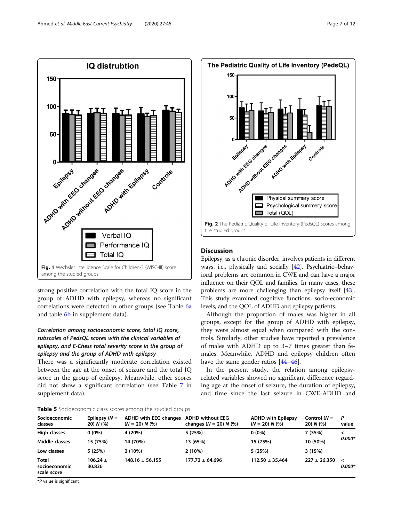<span id="page-6-0"></span>

strong positive correlation with the total IQ score in the group of ADHD with epilepsy, whereas no significant correlations were detected in other groups (see Table [6a](#page-8-0) and table 6**b** in supplement data).

# Correlation among socioeconomic score, total IQ score, subscales of PedsQL scores with the clinical variables of epilepsy, and E-Chess total severity score in the group of epilepsy and the group of ADHD with epilepsy

There was a significantly moderate correlation existed between the age at the onset of seizure and the total IQ score in the group of epilepsy. Meanwhile, other scores did not show a significant correlation (see Table [7](#page-8-0) in supplement data).



# **Discussion**

Epilepsy, as a chronic disorder, involves patients in different ways, i.e., physically and socially [\[42\]](#page-10-0). Psychiatric–behavioral problems are common in CWE and can have a major influence on their QOL and families. In many cases, these problems are more challenging than epilepsy itself [\[43](#page-10-0)]. This study examined cognitive functions, socio-economic levels, and the QOL of ADHD and epilepsy patients.

Although the proportion of males was higher in all groups, except for the group of ADHD with epilepsy, they were almost equal when compared with the controls. Similarly, other studies have reported a prevalence of males with ADHD up to 3–7 times greater than females. Meanwhile, ADHD and epilepsy children often have the same gender ratios [\[44](#page-10-0)–[46\]](#page-10-0).

In the present study, the relation among epilepsyrelated variables showed no significant difference regarding age at the onset of seizure, the duration of epilepsy, and time since the last seizure in CWE-ADHD and

**Table 5** Socioeconomic class scores among the studied groups

| Socioeconomic                                | Epilepsy $(N =$        | <b>ADHD with EEG changes</b> | <b>ADHD without EEG</b>  | <b>ADHD with Epilepsy</b> | Control $(N =$   | P                     |
|----------------------------------------------|------------------------|------------------------------|--------------------------|---------------------------|------------------|-----------------------|
| classes                                      | $20) N$ (%)            | $(N = 20) N$ (%)             | changes $(N = 20) N$ (%) | $(N = 20) N$ (%)          | $20) N$ (%)      | value                 |
| <b>High classes</b>                          | $0(0\%)$               | 4 (20%)                      | 5 (25%)                  | $0(0\%)$                  | 7 (35%)          | $\,<\,$               |
| Middle classes                               | 15 (75%)               | 14 (70%)                     | 13 (65%)                 | 15 (75%)                  | 10 (50%)         | $0.000*$              |
| Low classes                                  | 5 (25%)                | 2(10%)                       | 2(10%)                   | 5 (25%)                   | 3(15%)           |                       |
| <b>Total</b><br>socioeconomic<br>scale score | $106.24 \pm$<br>30.836 | $148.16 \pm 56.155$          | $177.72 \pm 64.696$      | $112.50 \pm 35.464$       | $227 \pm 26.350$ | $\hat{~}$<br>$0.000*$ |

\*P value is significant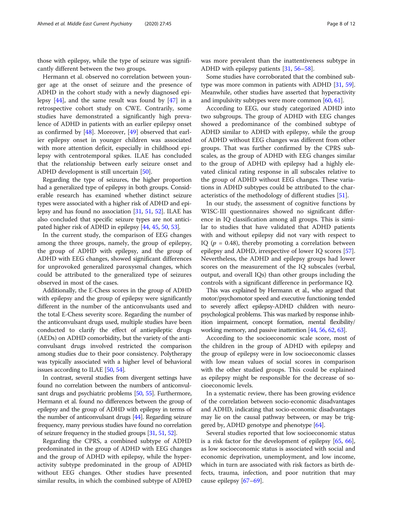those with epilepsy, while the type of seizure was significantly different between the two groups.

Hermann et al. observed no correlation between younger age at the onset of seizure and the presence of ADHD in the cohort study with a newly diagnosed epilepsy [\[44](#page-10-0)], and the same result was found by [[47\]](#page-10-0) in a retrospective cohort study on CWE. Contrarily, some studies have demonstrated a significantly high prevalence of ADHD in patients with an earlier epilepsy onset as confirmed by [\[48](#page-10-0)]. Moreover, [[49](#page-10-0)] observed that earlier epilepsy onset in younger children was associated with more attention deficit, especially in childhood epilepsy with centrotemporal spikes. ILAE has concluded that the relationship between early seizure onset and ADHD development is still uncertain [[50\]](#page-10-0).

Regarding the type of seizures, the higher proportion had a generalized type of epilepsy in both groups. Considerable research has examined whether distinct seizure types were associated with a higher risk of ADHD and epilepsy and has found no association [\[31,](#page-10-0) [51,](#page-10-0) [52\]](#page-10-0). ILAE has also concluded that specific seizure types are not anticipated higher risk of ADHD in epilepsy [\[44,](#page-10-0) [45](#page-10-0), [50](#page-10-0), [53\]](#page-10-0).

In the current study, the comparison of EEG changes among the three groups, namely, the group of epilepsy, the group of ADHD with epilepsy, and the group of ADHD with EEG changes, showed significant differences for unprovoked generalized paroxysmal changes, which could be attributed to the generalized type of seizures observed in most of the cases.

Additionally, the E-Chess scores in the group of ADHD with epilepsy and the group of epilepsy were significantly different in the number of the anticonvulsants used and the total E-Chess severity score. Regarding the number of the anticonvulsant drugs used, multiple studies have been conducted to clarify the effect of antiepileptic drugs (AEDs) on ADHD comorbidity, but the variety of the anticonvulsant drugs involved restricted the comparison among studies due to their poor consistency. Polytherapy was typically associated with a higher level of behavioral issues according to ILAE [[50](#page-10-0), [54](#page-10-0)].

In contrast, several studies from divergent settings have found no correlation between the numbers of anticonvulsant drugs and psychiatric problems [\[50,](#page-10-0) [55](#page-10-0)]. Furthermore, Hermann et al. found no differences between the group of epilepsy and the group of ADHD with epilepsy in terms of the number of anticonvulsant drugs [[44](#page-10-0)]. Regarding seizure frequency, many previous studies have found no correlation of seizure frequency in the studied groups [\[31,](#page-10-0) [51,](#page-10-0) [52\]](#page-10-0).

Regarding the CPRS, a combined subtype of ADHD predominated in the group of ADHD with EEG changes and the group of ADHD with epilepsy, while the hyperactivity subtype predominated in the group of ADHD without EEG changes. Other studies have presented similar results, in which the combined subtype of ADHD was more prevalent than the inattentiveness subtype in ADHD with epilepsy patients [\[31,](#page-10-0) [56](#page-10-0)–[58](#page-10-0)].

Some studies have corroborated that the combined subtype was more common in patients with ADHD [[31](#page-10-0), [59](#page-10-0)]. Meanwhile, other studies have asserted that hyperactivity and impulsivity subtypes were more common [[60](#page-10-0), [61\]](#page-10-0).

According to EEG, our study categorized ADHD into two subgroups. The group of ADHD with EEG changes showed a predominance of the combined subtype of ADHD similar to ADHD with epilepsy, while the group of ADHD without EEG changes was different from other groups. That was further confirmed by the CPRS subscales, as the group of ADHD with EEG changes similar to the group of ADHD with epilepsy had a highly elevated clinical rating response in all subscales relative to the group of ADHD without EEG changes. These variations in ADHD subtypes could be attributed to the characteristics of the methodology of different studies [[51\]](#page-10-0).

In our study, the assessment of cognitive functions by WISC-III questionnaires showed no significant difference in IQ classification among all groups. This is similar to studies that have validated that ADHD patients with and without epilepsy did not vary with respect to IQ ( $p = 0.48$ ), thereby promoting a correlation between epilepsy and ADHD, irrespective of lower IQ scores [\[57](#page-10-0)]. Nevertheless, the ADHD and epilepsy groups had lower scores on the measurement of the IQ subscales (verbal, output, and overall IQs) than other groups including the controls with a significant difference in performance IQ.

This was explained by Hermann et al., who argued that motor/psychomotor speed and executive functioning tended to severely affect epilepsy-ADHD children with neuropsychological problems. This was marked by response inhibition impairment, concept formation, mental flexibility/ working memory, and passive inattention [\[44](#page-10-0), [56](#page-10-0), [62,](#page-10-0) [63\]](#page-10-0).

According to the socioeconomic scale score, most of the children in the group of ADHD with epilepsy and the group of epilepsy were in low socioeconomic classes with low mean values of social scores in comparison with the other studied groups. This could be explained as epilepsy might be responsible for the decrease of socioeconomic levels.

In a systematic review, there has been growing evidence of the correlation between socio-economic disadvantages and ADHD, indicating that socio-economic disadvantages may lie on the causal pathway between, or may be triggered by, ADHD genotype and phenotype  $[64]$ .

Several studies reported that low socioeconomic status is a risk factor for the development of epilepsy [[65,](#page-10-0) [66](#page-10-0)], as low socioeconomic status is associated with social and economic deprivation, unemployment, and low income, which in turn are associated with risk factors as birth defects, trauma, infection, and poor nutrition that may cause epilepsy [[67](#page-10-0)–[69](#page-10-0)].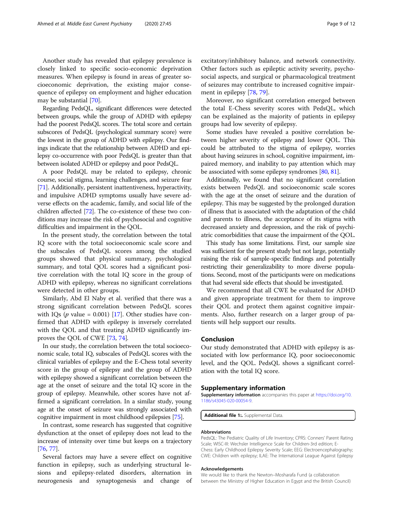<span id="page-8-0"></span>Another study has revealed that epilepsy prevalence is closely linked to specific socio-economic deprivation measures. When epilepsy is found in areas of greater socioeconomic deprivation, the existing major consequence of epilepsy on employment and higher education may be substantial [[70\]](#page-10-0).

Regarding PedsQL, significant differences were detected between groups, while the group of ADHD with epilepsy had the poorest PedsQL scores. The total score and certain subscores of PedsQL (psychological summary score) were the lowest in the group of ADHD with epilepsy. Our findings indicate that the relationship between ADHD and epilepsy co-occurrence with poor PedsQL is greater than that between isolated ADHD or epilepsy and poor PedsQL.

A poor PedsQL may be related to epilepsy, chronic course, social stigma, learning challenges, and seizure fear [[71](#page-10-0)]. Additionally, persistent inattentiveness, hyperactivity, and impulsive ADHD symptoms usually have severe adverse effects on the academic, family, and social life of the children affected [[72\]](#page-11-0). The co-existence of these two conditions may increase the risk of psychosocial and cognitive difficulties and impairment in the QOL.

In the present study, the correlation between the total IQ score with the total socioeconomic scale score and the subscales of PedsQL scores among the studied groups showed that physical summary, psychological summary, and total QOL scores had a significant positive correlation with the total IQ score in the group of ADHD with epilepsy, whereas no significant correlations were detected in other groups.

Similarly, Abd El Naby et al. verified that there was a strong significant correlation between PedsQL scores with IQs ( $p$  value = 0.001) [[17](#page-9-0)]. Other studies have confirmed that ADHD with epilepsy is inversely correlated with the QOL and that treating ADHD significantly improves the QOL of CWE [\[73,](#page-11-0) [74\]](#page-11-0).

In our study, the correlation between the total socioeconomic scale, total IQ, subscales of PedsQL scores with the clinical variables of epilepsy and the E-Chess total severity score in the group of epilepsy and the group of ADHD with epilepsy showed a significant correlation between the age at the onset of seizure and the total IQ score in the group of epilepsy. Meanwhile, other scores have not affirmed a significant correlation. In a similar study, young age at the onset of seizure was strongly associated with cognitive impairment in most childhood epilepsies [\[75\]](#page-11-0).

In contrast, some research has suggested that cognitive dysfunction at the onset of epilepsy does not lead to the increase of intensity over time but keeps on a trajectory [[76,](#page-11-0) [77\]](#page-11-0).

Several factors may have a severe effect on cognitive function in epilepsy, such as underlying structural lesions and epilepsy-related disorders, alternation in neurogenesis and synaptogenesis and change of

excitatory/inhibitory balance, and network connectivity. Other factors such as epileptic activity severity, psychosocial aspects, and surgical or pharmacological treatment of seizures may contribute to increased cognitive impairment in epilepsy [\[78](#page-11-0), [79](#page-11-0)].

Moreover, no significant correlation emerged between the total E-Chess severity scores with PedsQL, which can be explained as the majority of patients in epilepsy groups had low severity of epilepsy.

Some studies have revealed a positive correlation between higher severity of epilepsy and lower QOL. This could be attributed to the stigma of epilepsy, worries about having seizures in school, cognitive impairment, impaired memory, and inability to pay attention which may be associated with some epilepsy syndromes [\[80,](#page-11-0) [81\]](#page-11-0).

Additionally, we found that no significant correlation exists between PedsQL and socioeconomic scale scores with the age at the onset of seizure and the duration of epilepsy. This may be suggested by the prolonged duration of illness that is associated with the adaptation of the child and parents to illness, the acceptance of its stigma with decreased anxiety and depression, and the risk of psychiatric comorbidities that cause the impairment of the QOL.

This study has some limitations. First, our sample size was sufficient for the present study but not large, potentially raising the risk of sample-specific findings and potentially restricting their generalizability to more diverse populations. Second, most of the participants were on medications that had several side effects that should be investigated.

We recommend that all CWE be evaluated for ADHD and given appropriate treatment for them to improve their QOL and protect them against cognitive impairments. Also, further research on a larger group of patients will help support our results.

# Conclusion

Our study demonstrated that ADHD with epilepsy is associated with low performance IQ, poor socioeconomic level, and the QOL. PedsQL shows a significant correlation with the total IQ score.

# Supplementary information

Supplementary information accompanies this paper at [https://doi.org/10.](https://doi.org/10.1186/s43045-020-00054-9) [1186/s43045-020-00054-9](https://doi.org/10.1186/s43045-020-00054-9).

Additional file 1:. Supplemental Data.

#### Abbreviations

PedsQL: The Pediatric Quality of Life Inventory; CPRS: Conners' Parent Rating Scale; WISC-III: Wechsler Intelligence Scale for Children-3rd edition; E-Chess: Early Childhood Epilepsy Severity Scale; EEG: Electroencephalography; CWE: Children with epilepsy; ILAE: The International League Against Epilepsy

#### Acknowledgements

We would like to thank the Newton–Mosharafa Fund (a collaboration between the Ministry of Higher Education in Egypt and the British Council)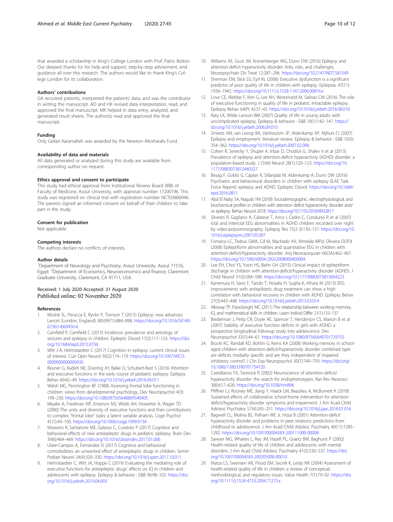<span id="page-9-0"></span>that awarded a scholarship in King's College London with Prof. Patric Bolton. Our deepest thanks for his help and support, step-by-step advisement, and guidance all over this research. The authors would like to thank King's College London for its collaboration.

## Authors' contributions

GA recruited patients, interpreted the patients' data, and was the contributor in writing the manuscript. AD and HK revised data interpretation, read, and approved the final manuscript. MK helped in data entry, analyzed, and generated result sheets. The author(s) read and approved the final manuscript.

#### Funding

Only Gellan Karamallah was awarded by the Newton–Mosharafa Fund.

## Availability of data and materials

All data generated or analyzed during this study are available from corresponding author on request.

# Ethics approval and consent to participate

This study had ethical approval from Institutional Review Board (IRB) of Faculty of Medicine, Assiut University, with approval number 17200196. This study was registered on clinical trial with registration number NCT03806946. The parents signed an informed consent on behalf of their children to take part in the study.

## Consent for publication

Not applicable

#### Competing interests

The authors declare no conflicts of interests.

#### Author details

<sup>1</sup>Department of Neurology and Psychiatry, Assiut University, Assiut 71516, Egypt. <sup>2</sup>Department of Economics, Neuroeconomics and finance, Claremont Graduate University, Claremont, CA 91711, USA.

#### Received: 1 July 2020 Accepted: 31 August 2020 Published online: 02 November 2020

#### References

- 1. Moshé SL, Perucca E, Ryvlin P, Tomson T (2015) Epilepsy: new advances. Lancet (London, England) 385(9971):884–898. [https://doi.org/10.1016/S0140-](https://doi.org/10.1016/S0140-6736(14)60456-6) [6736\(14\)60456-6](https://doi.org/10.1016/S0140-6736(14)60456-6)
- 2. Camfield P, Camfield C (2015) Incidence, prevalence and aetiology of seizures and epilepsy in children. Epileptic Disord 17(2):117–123. [https://doi.](https://doi.org/10.1684/epd.2015.0736) [org/10.1684/epd.2015.0736](https://doi.org/10.1684/epd.2015.0736)
- 3. Witt J-A, Helmstaedter C (2017) Cognition in epilepsy: current clinical issues of interest. Curr Opin Neurol 30(2):174–179. [https://doi.org/10.1097/WCO.](https://doi.org/10.1097/WCO.0000000000000430) [0000000000000430](https://doi.org/10.1097/WCO.0000000000000430)
- 4. Reuner G, Kadish NE, Doering JH, Balke D, Schubert-Bast S (2016) Attention and executive functions in the early course of pediatric epilepsy. Epilepsy Behav 60:42–49. <https://doi.org/10.1016/j.yebeh.2016.04.011>
- 5. Welsh MC, Pennington BF (1988) Assessing frontal lobe functioning in children: views from developmental psychology. Dev Neuropsychol 4(3): 199–230. <https://doi.org/10.1080/87565648809540405>
- 6. Miyake A, Friedman NP, Emerson MJ, Witzki AH, Howerter A, Wager TD (2000) The unity and diversity of executive functions and their contributions to complex "frontal lobe" tasks: a latent variable analysis. Cogn Psychol 41(1):49–100. <https://doi.org/10.1006/cogp.1999.0734>
- Moavero R, Santarone ME, Galasso C, Curatolo P (2017) Cognitive and behavioral effects of new antiepileptic drugs in pediatric epilepsy. Brain Dev 39(6):464–469. <https://doi.org/10.1016/j.braindev.2017.01.006>
- 8. Ulate-Campos A, Fernández IS (2017) Cognitive and behavioral comorbidities: an unwanted effect of antiepileptic drugs in children. Semin Pediatr Neurol 24(4):320–330. <https://doi.org/10.1016/j.spen.2017.10.011>
- 9. Helmstaedter C, Witt JA, Hoppe C (2019) Evaluating the mediating role of executive functions for antiepileptic drugs' effects on IQ in children and adolescents with epilepsy. Epilepsy & behavior : E&B 96:98–103. [https://doi.](https://doi.org/10.1016/j.yebeh.2019.04.003) [org/10.1016/j.yebeh.2019.04.003](https://doi.org/10.1016/j.yebeh.2019.04.003)
- 10. Williams AE, Giust JM, Kronenberger WG, Dunn DW (2016) Epilepsy and attention-deficit hyperactivity disorder: links, risks, and challenges. Neuropsychiatr Dis Treat 12:287–296. <https://doi.org/10.2147/NDT.S81549>
- 11. Sherman EM, Slick DJ, Eyrl KL (2006) Executive dysfunction is a significant predictor of poor quality of life in children with epilepsy. Epilepsia. 47(11): 1936–1942. <https://doi.org/10.1111/j.1528-1167.2006.00816.x>
- 12. Love CE, Webbe F, Kim G, Lee KH, Westerveld M, Salinas CM (2016) The role of executive functioning in quality of life in pediatric intractable epilepsy. Epilepsy Behav 64(Pt A):37–43. <https://doi.org/10.1016/j.yebeh.2016.08.018>
- 13. Raty LK, Wilde Larsson BM (2007) Quality of life in young adults with uncomplicated epilepsy. Epilepsy & behavior : E&B 10(1):142–147. [https://](https://doi.org/10.1016/j.yebeh.2006.09.010) [doi.org/10.1016/j.yebeh.2006.09.010](https://doi.org/10.1016/j.yebeh.2006.09.010)
- 14. Smeets VM, van Lierop BA, Vanhoutvin JP, Aldenkamp AP, Nijhuis FJ (2007) Epilepsy and employment: literature review. Epilepsy & behavior : E&B 10(3): 354–362. <https://doi.org/10.1016/j.yebeh.2007.02.006>
- 15. Cohen R, Senecky Y, Shuper A, Inbar D, Chodick G, Shalev V et al (2013) Prevalence of epilepsy and attention-deficit hyperactivity (ADHD) disorder: a population-based study. J Child Neurol 28(1):120–123. [https://doi.org/10.](https://doi.org/10.1177/0883073812440327) [1177/0883073812440327](https://doi.org/10.1177/0883073812440327)
- 16. Besag F, Gobbi G, Caplan R, Sillanpää M, Aldenkamp A, Dunn DW (2016) Psychiatric and behavioural disorders in children with epilepsy (ILAE Task Force Report): epilepsy and ADHD. Epileptic Disord. [https://doi.org/10.1684/](https://doi.org/10.1684/epd.2016.0811) [epd.2016.0811](https://doi.org/10.1684/epd.2016.0811)
- 17. Abd El Naby SA, Naguib YM (2018) Sociodemographic, electrophysiological, and biochemical profiles in children with attention deficit hyperactivity disorder and/ or epilepsy. Behav Neurol 2018. <https://doi.org/10.1155/2018/8932817>
- 18. Silvestri R, Gagliano A, Calarese T, Arico I, Cedro C, Condurso R et al (2007) Ictal and interictal EEG abnormalities in ADHD children recorded over night by video-polysomnography. Epilepsy Res 75(2-3):130–137. [https://doi.org/10.](https://doi.org/10.1016/j.eplepsyres.2007.05.007) [1016/j.eplepsyres.2007.05.007](https://doi.org/10.1016/j.eplepsyres.2007.05.007)
- 19. Fonseca LC, Tedrus GMA, Cd M, Machado AV, Almeida MPd, Oliveira DOFd (2008) Epileptiform abnormalities and quantitative EEG in children with attention-deficit/hyperactivity disorder. Arq Neuropsiquiatr 66(3A):462–467. <https://doi.org/10.1590/s0004-282x2008000400004>
- 20. Lee EH, Choi YS, Yoon HS, Bahn GH (2015) Clinical impact of epileptiform discharge in children with attention-deficit/hyperactivity disorder (ADHD). J Child Neurol 31(5):584–588. <https://doi.org/10.1177/0883073815604223>
- 21. Kanemura H, Sano F, Tando T, Hosaka H, Sugita K, Aihara M (2013) EEG improvements with antiepileptic drug treatment can show a high correlation with behavioral recovery in children with ADHD. Epilepsy Behav 27(3):443–448. <https://doi.org/10.1016/j.yebeh.2013.03.014>
- 22. Alloway TP, Passolunghi MC (2011) The relationship between working memory, IQ, and mathematical skills in children. Learn Individ Differ 21(1):133–137
- 23. Biederman J, Petty CR, Doyle AE, Spencer T, Henderson CS, Marion B et al (2007) Stability of executive function deficits in girls with ADHD: a prospective longitudinal followup study into adolescence. Dev Neuropsychol 33(1):44–61. <https://doi.org/10.1080/87565640701729755>
- 24. Brocki KC, Randall KD, Bohlin G, Kerns KA (2008) Working memory in schoolaged children with attention-deficit/hyperactivity disorder combined type: are deficits modality specific and are they independent of impaired inhibitory control? J Clin Exp Neuropsychol 30(7):749–759. [https://doi.org/](https://doi.org/10.1080/13803390701754720) [10.1080/13803390701754720](https://doi.org/10.1080/13803390701754720)
- 25. Castellanos FX, Tannock R (2002) Neuroscience of attention-deficit/ hyperactivity disorder: the search for endophenotypes. Nat Rev Neurosci 3(8):617–628. <https://doi.org/10.1038/nrn896>
- 26. Pfiffner LJ, Rooney ME, Jiang Y, Haack LM, Beaulieu A, McBurnett K (2018) Sustained effects of collaborative school-home intervention for attentiondeficit/hyperactivity disorder symptoms and impairment. J Am Acad Child Adolesc Psychiatry 57(4):245–251. <https://doi.org/10.1016/j.jaac.2018.01.016>
- 27. Bagwell CL, Molina BS, Pelham WE Jr, Hoza B (2001) Attention-deficit hyperactivity disorder and problems in peer relations: predictions from childhood to adolescence. J Am Acad Child Adolesc Psychiatry 40(11):1285– 1292. <https://doi.org/10.1097/00004583-200111000-00008>
- 28. Sawyer MG, Whaites L, Rey JM, Hazell PL, Graetz BW, Baghurst P (2002) Health-related quality of life of children and adolescents with mental disorders. J Am Acad Child Adolesc Psychiatry 41(5):530–537. [https://doi.](https://doi.org/10.1097/00004583-200205000-00010) [org/10.1097/00004583-200205000-00010](https://doi.org/10.1097/00004583-200205000-00010)
- 29. Matza LS, Swensen AR, Flood EM, Secnik K, Leidy NK (2004) Assessment of health-related quality of life in children: a review of conceptual, methodological, and regulatory issues. Value Health 7(1):79–92. [https://doi.](https://doi.org/10.1111/j.1524-4733.2004.71273.x) [org/10.1111/j.1524-4733.2004.71273.x](https://doi.org/10.1111/j.1524-4733.2004.71273.x)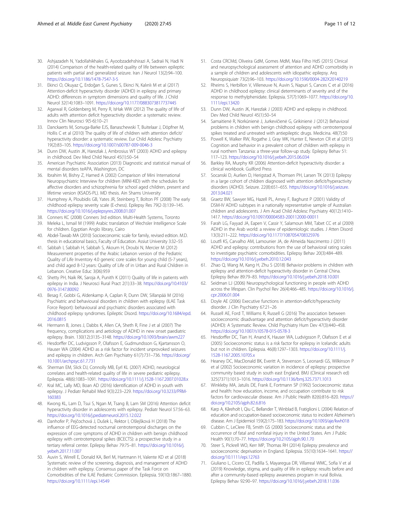- <span id="page-10-0"></span>30. Ashjazadeh N, Yadollahikhales G, Ayoobzadehshirazi A, Sadraii N, Hadi N (2014) Comparison of the health-related quality of life between epileptic patients with partial and generalized seizure. Iran J Neurol 13(2):94–100. <https://doi.org/10.1186/1478-7547-3-5>
- 31. Ekinci O, Okuyaz Ç, Erdoğan S, Gunes S, Ekinci N, Kalınlı M et al (2017) Attention-deficit hyperactivity disorder (ADHD) in epilepsy and primary ADHD: differences in symptom dimensions and quality of life. J Child Neurol 32(14):1083–1091. <https://doi.org/10.1177/0883073817737445>
- 32. Agarwal R, Goldenberg M, Perry R, IsHak WW (2012) The quality of life of adults with attention deficit hyperactivity disorder: a systematic review. Innov Clin Neurosci 9(5-6):10–21
- 33. Danckaerts M, Sonuga-Barke EJS, Banaschewski T, Buitelaar J, Döpfner M, Hollis C et al (2010) The quality of life of children with attention deficit/ hyperactivity disorder: a systematic review. Eur Child Adolesc Psychiatry 19(2):83–105. <https://doi.org/10.1007/s00787-009-0046-3>
- 34. Dunn DW, Austin JK, Harezlak J, Ambrosius WT (2003) ADHD and epilepsy in childhood. Dev Med Child Neurol 45(1):50–54
- 35. American Psychiatric Association (2013) Diagnostic and statistical manual of mental disorders teAPA, Washington, DC
- 36. Ibrahim M, Bishry Z, Hamed A (2002) Comparison of Mini International Neuropsychiatric Interview for children (MINI-KID) with the schedules for affective disorders and schizophrenia for school aged children, present and lifetime version (KSADS-PL). MD thesis. Ain Shams University
- 37. Humphrey A, Ploubidis GB, Yates JR, Steinberg T, Bolton PF (2008) The early childhood epilepsy severity scale (E-chess). Epilepsy Res 79(2-3):139–145. <https://doi.org/10.1016/j.eplepsyres.2008.01.007>
- 38. Conners KC (2008) Conners 3rd edition. Multi-Health Systems, Toronto
- 39. Meleka L, Ismail M (1999) Arabic translation of Wechsler Intelligence Scale for children. Egyptian Anglo library, Cairo
- 40. Abdel-Tawab MA (2010) Socioeconomic scale for family, revised edition. M.D. thesis in educational basics, Faculty of Education. Assiut University 3:32–55
- 41. Sabbah I, Sabbah H, Sabbah S, Akoum H, Droubi N, Mercier M (2012) Measurement properties of the Arabic Lebanon version of the Pediatric Quality of Life Inventory 4.0 generic core scales for young child (5-7 years), and child aged 8-12 years: Quality of Life of in Urban and Rural Children in Lebanon. Creative Educ 3(06):959
- 42. Shetty PH, Naik RK, Saroja A, Punith K (2011) Quality of life in patients with epilepsy in India. J Neurosci Rural Pract 2(1):33–38. [https://doi.org/10.4103/](https://doi.org/10.4103/0976-3147.80092) [0976-3147.80092](https://doi.org/10.4103/0976-3147.80092)
- 43. Besag F, Gobbi G, Aldenkamp A, Caplan R, Dunn DW, Sillanpää M (2016) Psychiatric and behavioural disorders in children with epilepsy (ILAE Task Force Report): behavioural and psychiatric disorders associated with childhood epilepsy syndromes. Epileptic Disord. [https://doi.org/10.1684/epd.](https://doi.org/10.1684/epd.2016.0815) [2016.0815](https://doi.org/10.1684/epd.2016.0815)
- 44. Hermann B, Jones J, Dabbs K, Allen CA, Sheth R, Fine J et al (2007) The frequency, complications and aetiology of ADHD in new onset paediatric epilepsy. Brain. 130(12):3135–3148. <https://doi.org/10.1093/brain/awm227>
- 45. Hesdorffer DC, Ludvigsson P, Olafsson E, Gudmundsson G, Kjartansson O, Hauser WA (2004) ADHD as a risk factor for incident unprovoked seizures and epilepsy in children. Arch Gen Psychiatry 61(7):731–736. [https://doi.org/](https://doi.org/10.1001/archpsyc.61.7.731) [10.1001/archpsyc.61.7.731](https://doi.org/10.1001/archpsyc.61.7.731)
- 46. Sherman EM, Slick DJ, Connolly MB, Eyrl KL (2007) ADHD, neurological correlates and health-related quality of life in severe pediatric epilepsy. Epilepsia. 48(6):1083–1091. <https://doi.org/10.1111/j.1528-1167.2007.01028.x>
- 47. Kral MC, Lally MD, Boan AD (2016) Identification of ADHD in youth with epilepsy. J Pediatr Rehabil Med 9(3):223–229. [https://doi.org/10.3233/PRM-](https://doi.org/10.3233/PRM-160383)[160383](https://doi.org/10.3233/PRM-160383)
- 48. Kwong KL, Lam D, Tsui S, Ngan M, Tsang B, Lam SM (2016) Attention deficit hyperactivity disorder in adolescents with epilepsy. Pediatr Neurol 57:56–63. <https://doi.org/10.1016/j.pediatrneurol.2015.12.022>
- 49. Danhofer P, Pejčochová J, Dušek L, Rektor I, Ošlejšková H (2018) The influence of EEG-detected nocturnal centrotemporal discharges on the expression of core symptoms of ADHD in children with benign childhood epilepsy with centrotemporal spikes (BCECTS): a prospective study in a tertiary referral center. Epilepsy Behav 79:75–81. [https://doi.org/10.1016/j.](https://doi.org/10.1016/j.yebeh.2017.11.007) [yebeh.2017.11.007](https://doi.org/10.1016/j.yebeh.2017.11.007)
- 50. Auvin S, Wirrell E, Donald KA, Berl M, Hartmann H, Valente KD et al (2018) Systematic review of the screening, diagnosis, and management of ADHD in children with epilepsy. Consensus paper of the Task Force on Comorbidities of the ILAE Pediatric Commission. Epilepsia. 59(10):1867–1880. <https://doi.org/10.1111/epi.14549>
- 51. Costa CRCMd, Oliveira GdM, Gomes MdM, Maia Filho HdS (2015) Clinical and neuropsychological assessment of attention and ADHD comorbidity in a sample of children and adolescents with idiopathic epilepsy. Arq Neuropsiquiatr 73(2):96–103. <https://doi.org/10.1590/0004-282X20140219>
- 52. Rheims S, Herbillon V, Villeneuve N, Auvin S, Napuri S, Cances C et al (2016) ADHD in childhood epilepsy: clinical determinants of severity and of the response to methylphenidate. Epilepsia. 57(7):1069–1077. [https://doi.org/10.](https://doi.org/10.1111/epi.13420) [1111/epi.13420](https://doi.org/10.1111/epi.13420)
- 53. Dunn DW, Austin JK, Harezlak J (2003) ADHD and epilepsy in childhood. Dev Med Child Neurol 45(1):50–54
- 54. Samaitienė R, Norkūnienė J, Jurkevičienė G, Grikinienė J (2012) Behavioral problems in children with benign childhood epilepsy with centrotemporal spikes treated and untreated with antiepileptic drugs. Medicina. 48(7):50
- 55. Powell K, Walker RW, Rogathe J, Gray WK, Hunter E, Newton CR et al (2015) Cognition and behavior in a prevalent cohort of children with epilepsy in rural northern Tanzania: a three-year follow-up study. Epilepsy Behav 51: 117–123. <https://doi.org/10.1016/j.yebeh.2015.06.034>
- 56. Barkley RA, Murphy KR (2006) Attention-deficit hyperactivity disorder: a clinical workbook. Guilford Press
- 57. Socanski D, Aurlien D, Herigstad A, Thomsen PH, Larsen TK (2013) Epilepsy in a large cohort of children diagnosed with attention deficit/hyperactivity disorders (ADHD). Seizure. 22(8):651–655. [https://doi.org/10.1016/j.seizure.](https://doi.org/10.1016/j.seizure.2013.04.021) [2013.04.021](https://doi.org/10.1016/j.seizure.2013.04.021)
- 58. Graetz BW, Sawyer MG, Hazell PL, Arney F, Baghurst P (2001) Validity of DSM-IV ADHD subtypes in a nationally representative sample of Australian children and adolescents. J Am Acad Child Adolesc Psychiatry 40(12):1410– 1417. <https://doi.org/10.1097/00004583-200112000-00011>
- 59. Farah LG, Fayyad JA, Eapen V, Cassir Y, Salamoun MM, Tabet CC et al (2009) ADHD in the Arab world: a review of epidemiologic studies. J Atten Disord 13(3):211–222. <https://doi.org/10.1177/1087054708325976>
- 60. Loutfi KS, Carvalho AM, Lamounier JA, de Almeida Nascimento J (2011) ADHD and epilepsy: contributions from the use of behavioral rating scales to investigate psychiatric comorbidities. Epilepsy Behav 20(3):484–489. <https://doi.org/10.1016/j.yebeh.2010.12.043>
- 61. Zhao Q, Wang M, Kang H, Zhu S (2018) Behavior problems in children with epilepsy and attention-deficit hyperactivity disorder in Central China. Epilepsy Behav 89:79–83. <https://doi.org/10.1016/j.yebeh.2018.10.001>
- 62. Seidman LJ (2006) Neuropsychological functioning in people with ADHD across the lifespan. Clin Psychol Rev 26(4):466–485. [https://doi.org/10.1016/j.](https://doi.org/10.1016/j.cpr.2006.01.004) [cpr.2006.01.004](https://doi.org/10.1016/j.cpr.2006.01.004)
- 63. Doyle AE (2006) Executive functions in attention-deficit/hyperactivity disorder. J Clin Psychiatry 67:21–26
- 64. Russell AE, Ford T, Williams R, Russell G (2016) The association between socioeconomic disadvantage and attention deficit/hyperactivity disorder (ADHD): A Systematic Review. Child Psychiatry Hum Dev 47(3):440–458. <https://doi.org/10.1007/s10578-015-0578-3>
- 65. Hesdorffer DC, Tian H, Anand K, Hauser WA, Ludvigsson P, Olafsson E et al (2005) Socioeconomic status is a risk factor for epilepsy in Icelandic adults but not in children. Epilepsia. 46(8):1297–1303. [https://doi.org/10.1111/j.](https://doi.org/10.1111/j.1528-1167.2005.10705.x) [1528-1167.2005.10705.x](https://doi.org/10.1111/j.1528-1167.2005.10705.x)
- 66. Heaney DC, MacDonald BK, Everitt A, Stevenson S, Leonardi GS, Wilkinson P et al (2002) Socioeconomic variation in incidence of epilepsy: prospective community based study in south east England. BMJ (Clinical research ed) 325(7371):1013–1016. <https://doi.org/10.1136/bmj.325.7371.1013>
- 67. Winkleby MA, Jatulis DE, Frank E, Fortmann SP (1992) Socioeconomic status and health: how education, income, and occupation contribute to risk factors for cardiovascular disease. Am J Public Health 82(6):816–820. [https://](https://doi.org/10.2105/ajph.82.6.816) [doi.org/10.2105/ajph.82.6.816](https://doi.org/10.2105/ajph.82.6.816)
- 68. Karp A, Kåreholt I, Qiu C, Bellander T, Winblad B, Fratiglioni L (2004) Relation of education and occupation-based socioeconomic status to incident Alzheimer's disease. Am J Epidemiol 159(2):175–183. <https://doi.org/10.1093/aje/kwh018>
- 69. Cubbin C, LeClere FB, Smith GS (2000) Socioeconomic status and the occurrence of fatal and nonfatal injury in the United States. Am J Public Health 90(1):70–77. <https://doi.org/10.2105/ajph.90.1.70>
- 70. Steer S, Pickrell WO, Kerr MP, Thomas RH (2014) Epilepsy prevalence and socioeconomic deprivation in England. Epilepsia. 55(10):1634–1641. [https://](https://doi.org/10.1111/epi.12763) [doi.org/10.1111/epi.12763](https://doi.org/10.1111/epi.12763)
- 71. Giuliano L, Cicero CE, Padilla S, Mayaregua DR, Villarreal WMC, Sofia V et al (2019) Knowledge, stigma, and quality of life in epilepsy: results before and after a community-based epilepsy awareness program in rural Bolivia. Epilepsy Behav 92:90–97. <https://doi.org/10.1016/j.yebeh.2018.11.036>